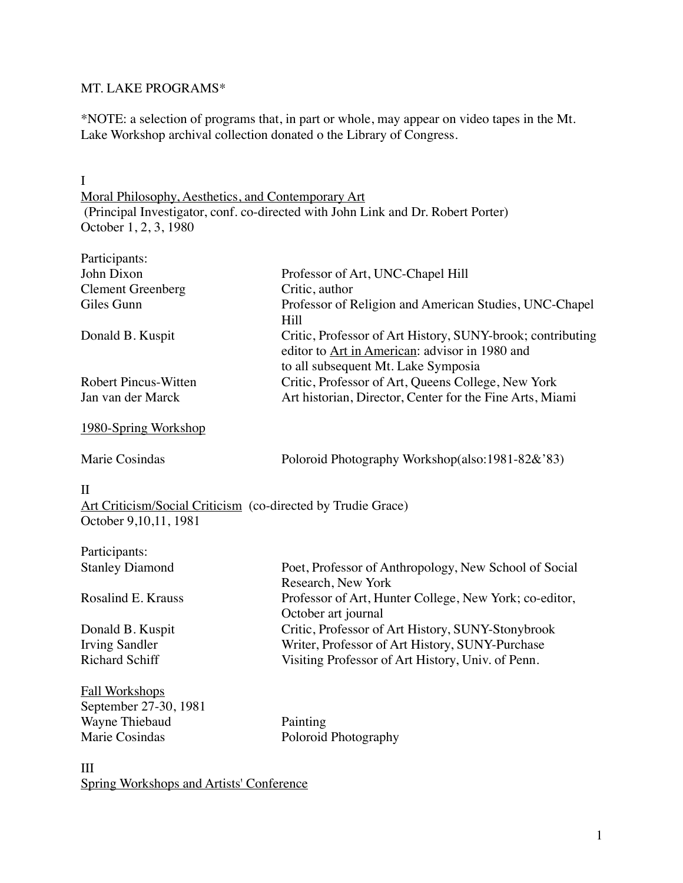### MT. LAKE PROGRAMS\*

\*NOTE: a selection of programs that, in part or whole, may appear on video tapes in the Mt. Lake Workshop archival collection donated o the Library of Congress.

I

Moral Philosophy, Aesthetics, and Contemporary Art (Principal Investigator, conf. co-directed with John Link and Dr. Robert Porter) October 1, 2, 3, 1980

| Participants:                                                |                                                            |
|--------------------------------------------------------------|------------------------------------------------------------|
| John Dixon                                                   | Professor of Art, UNC-Chapel Hill                          |
| <b>Clement Greenberg</b>                                     | Critic, author                                             |
| Giles Gunn                                                   | Professor of Religion and American Studies, UNC-Chapel     |
|                                                              | Hill                                                       |
| Donald B. Kuspit                                             | Critic, Professor of Art History, SUNY-brook; contributing |
|                                                              | editor to Art in American: advisor in 1980 and             |
|                                                              | to all subsequent Mt. Lake Symposia                        |
| <b>Robert Pincus-Witten</b>                                  | Critic, Professor of Art, Queens College, New York         |
| Jan van der Marck                                            | Art historian, Director, Center for the Fine Arts, Miami   |
| <u>1980-Spring Workshop</u>                                  |                                                            |
| Marie Cosindas                                               | Poloroid Photography Workshop(also:1981-82&'83)            |
| $\mathbf{I}$                                                 |                                                            |
| Art Criticism/Social Criticism (co-directed by Trudie Grace) |                                                            |
| October 9, 10, 11, 1981                                      |                                                            |
| Participants:                                                |                                                            |
| <b>Stanley Diamond</b>                                       | Poet, Professor of Anthropology, New School of Social      |
|                                                              | Research, New York                                         |
| Rosalind E. Krauss                                           | Professor of Art, Hunter College, New York; co-editor,     |
|                                                              | October art journal                                        |
| Donald B. Kuspit                                             | Critic, Professor of Art History, SUNY-Stonybrook          |
| <b>Irving Sandler</b>                                        | Writer, Professor of Art History, SUNY-Purchase            |
| <b>Richard Schiff</b>                                        | Visiting Professor of Art History, Univ. of Penn.          |
| <b>Fall Workshops</b>                                        |                                                            |
| September 27-30, 1981                                        |                                                            |
| Wayne Thiebaud                                               | Painting                                                   |
| Marie Cosindas                                               | Poloroid Photography                                       |
| III                                                          |                                                            |

Spring Workshops and Artists' Conference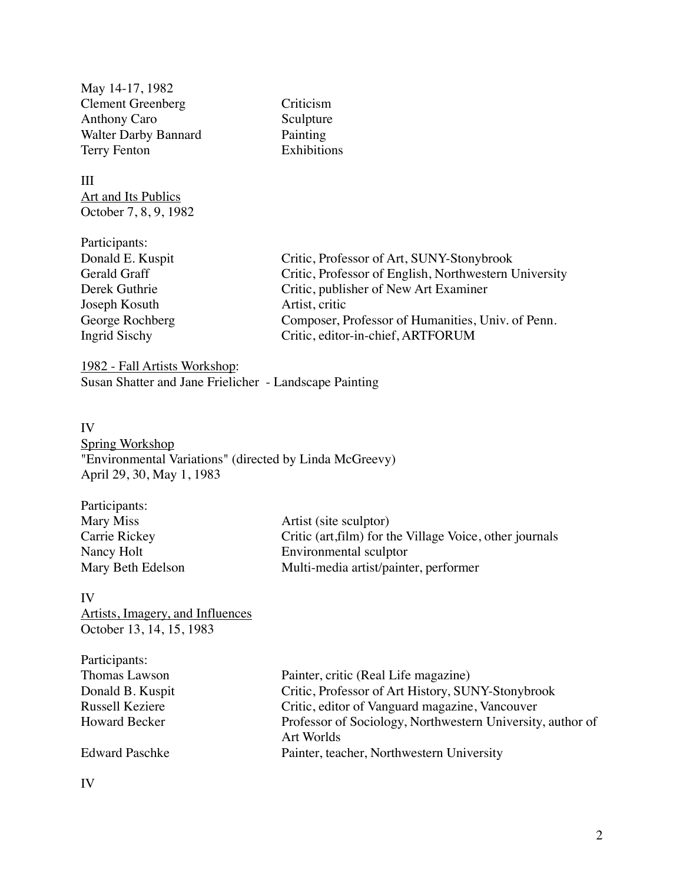May 14-17, 1982 Clement Greenberg Criticism Anthony Caro Sculpture Walter Darby Bannard Painting Terry Fenton **Exhibitions** 

III Art and Its Publics October 7, 8, 9, 1982

Participants: Donald E. Kuspit Critic, Professor of Art, SUNY-Stonybrook Gerald Graff Critic, Professor of English, Northwestern University Derek Guthrie Critic, publisher of New Art Examiner Joseph Kosuth Artist, critic George Rochberg Composer, Professor of Humanities, Univ. of Penn. Ingrid Sischy Critic, editor-in-chief, ARTFORUM

1982 - Fall Artists Workshop: Susan Shatter and Jane Frielicher - Landscape Painting

#### IV

Spring Workshop "Environmental Variations" (directed by Linda McGreevy) April 29, 30, May 1, 1983

| Participants:     |                                                          |
|-------------------|----------------------------------------------------------|
| Mary Miss         | Artist (site sculptor)                                   |
| Carrie Rickey     | Critic (art, film) for the Village Voice, other journals |
| Nancy Holt        | Environmental sculptor                                   |
| Mary Beth Edelson | Multi-media artist/painter, performer                    |
|                   |                                                          |

#### IV

Artists, Imagery, and Influences October 13, 14, 15, 1983

| Participants:         |                                                                          |
|-----------------------|--------------------------------------------------------------------------|
| Thomas Lawson         | Painter, critic (Real Life magazine)                                     |
| Donald B. Kuspit      | Critic, Professor of Art History, SUNY-Stonybrook                        |
| Russell Keziere       | Critic, editor of Vanguard magazine, Vancouver                           |
| <b>Howard Becker</b>  | Professor of Sociology, Northwestern University, author of<br>Art Worlds |
|                       |                                                                          |
| <b>Edward Paschke</b> | Painter, teacher, Northwestern University                                |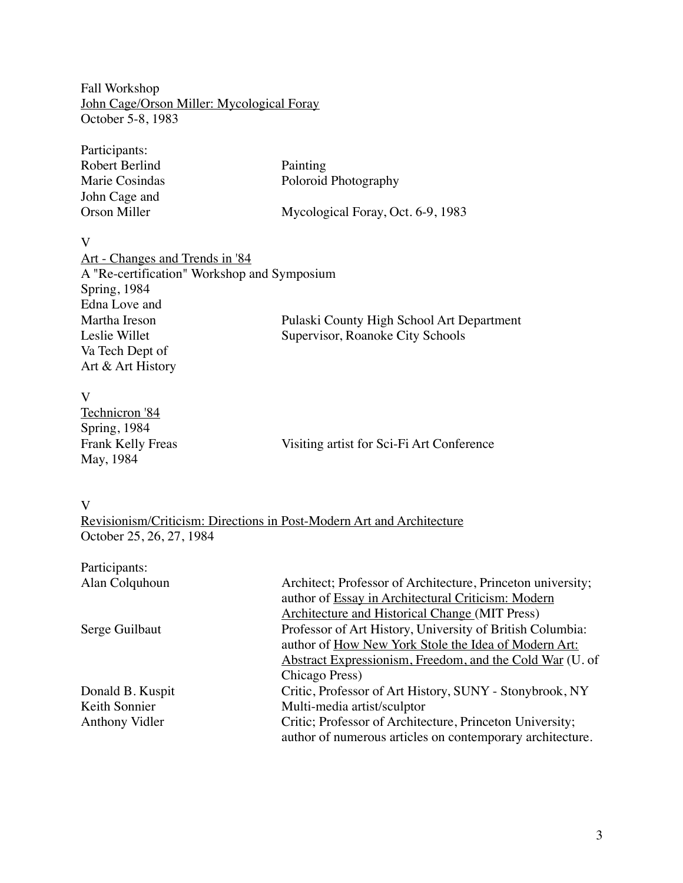Fall Workshop John Cage/Orson Miller: Mycological Foray October 5-8, 1983

| Participants:  |                                   |
|----------------|-----------------------------------|
| Robert Berlind | Painting                          |
| Marie Cosindas | Poloroid Photography              |
| John Cage and  |                                   |
| Orson Miller   | Mycological Foray, Oct. 6-9, 1983 |

V

| Art - Changes and Trends in '84             |                                           |
|---------------------------------------------|-------------------------------------------|
| A "Re-certification" Workshop and Symposium |                                           |
| Spring, 1984                                |                                           |
| Edna Love and                               |                                           |
| Martha Ireson                               | Pulaski County High School Art Department |
| Leslie Willet                               | Supervisor, Roanoke City Schools          |
| Va Tech Dept of                             |                                           |
| Art & Art History                           |                                           |

| Visiting artist for Sci-Fi Art Conference |
|-------------------------------------------|
|                                           |
|                                           |

V

Revisionism/Criticism: Directions in Post-Modern Art and Architecture October 25, 26, 27, 1984

| Architect; Professor of Architecture, Princeton university; |
|-------------------------------------------------------------|
| author of Essay in Architectural Criticism: Modern          |
| Architecture and Historical Change (MIT Press)              |
| Professor of Art History, University of British Columbia:   |
| author of How New York Stole the Idea of Modern Art:        |
| Abstract Expressionism, Freedom, and the Cold War (U. of    |
| Chicago Press)                                              |
| Critic, Professor of Art History, SUNY - Stonybrook, NY     |
| Multi-media artist/sculptor                                 |
| Critic; Professor of Architecture, Princeton University;    |
| author of numerous articles on contemporary architecture.   |
|                                                             |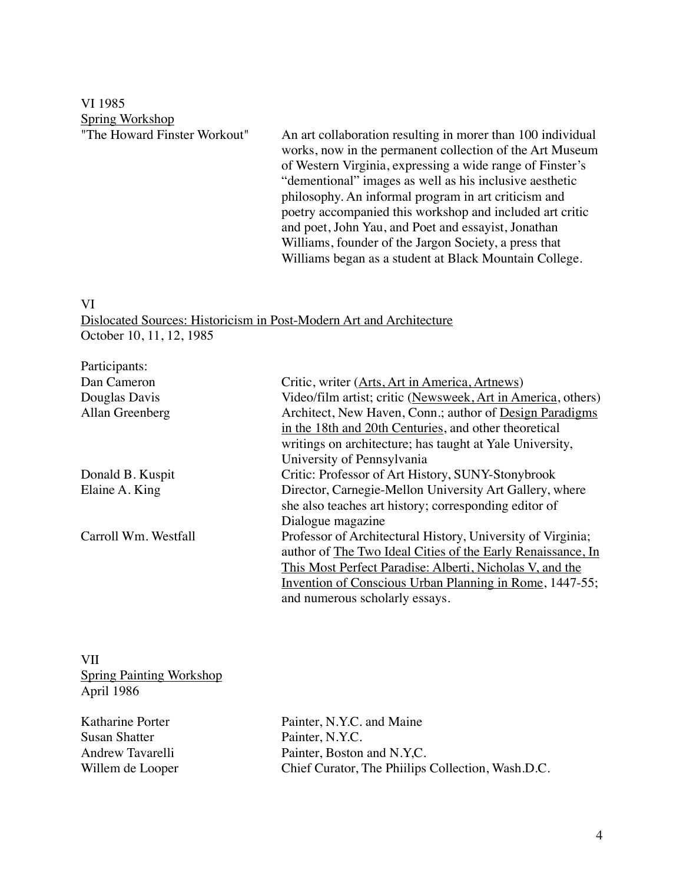VI 1985 **Spring Workshop**<br>"The Howard Finster Workout"

An art collaboration resulting in morer than 100 individual works, now in the permanent collection of the Art Museum of Western Virginia, expressing a wide range of Finster's "dementional" images as well as his inclusive aesthetic philosophy. An informal program in art criticism and poetry accompanied this workshop and included art critic and poet, John Yau, and Poet and essayist, Jonathan Williams, founder of the Jargon Society, a press that Williams began as a student at Black Mountain College.

#### VI

Dislocated Sources: Historicism in Post-Modern Art and Architecture October 10, 11, 12, 1985

| Participants:        |                                                                |
|----------------------|----------------------------------------------------------------|
| Dan Cameron          | Critic, writer (Arts, Art in America, Artnews)                 |
| Douglas Davis        | Video/film artist; critic (Newsweek, Art in America, others)   |
| Allan Greenberg      | Architect, New Haven, Conn.; author of Design Paradigms        |
|                      | in the 18th and 20th Centuries, and other theoretical          |
|                      | writings on architecture; has taught at Yale University,       |
|                      | University of Pennsylvania                                     |
| Donald B. Kuspit     | Critic: Professor of Art History, SUNY-Stonybrook              |
| Elaine A. King       | Director, Carnegie-Mellon University Art Gallery, where        |
|                      | she also teaches art history; corresponding editor of          |
|                      | Dialogue magazine                                              |
| Carroll Wm. Westfall | Professor of Architectural History, University of Virginia;    |
|                      | author of The Two Ideal Cities of the Early Renaissance, In    |
|                      | This Most Perfect Paradise: Alberti, Nicholas V, and the       |
|                      | <b>Invention of Conscious Urban Planning in Rome, 1447-55;</b> |
|                      | and numerous scholarly essays.                                 |
|                      |                                                                |

VII Spring Painting Workshop April 1986

Susan Shatter Painter, N.Y.C.

Katharine Porter Painter, N.Y.C. and Maine Andrew Tavarelli Painter, Boston and N.Y,C. Willem de Looper Chief Curator, The Phiilips Collection, Wash.D.C.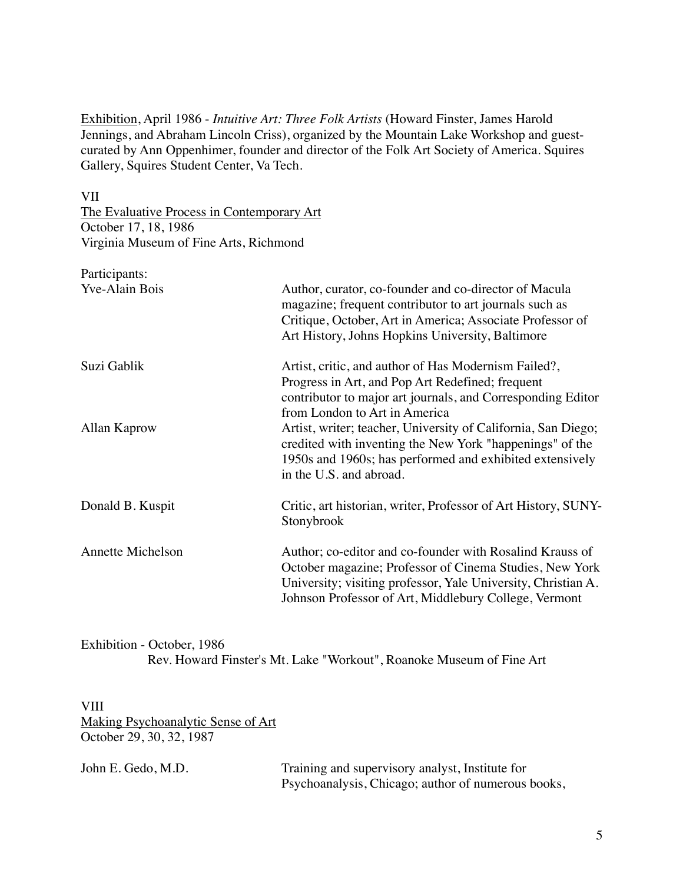Exhibition, April 1986 - *Intuitive Art: Three Folk Artists* (Howard Finster, James Harold Jennings, and Abraham Lincoln Criss), organized by the Mountain Lake Workshop and guestcurated by Ann Oppenhimer, founder and director of the Folk Art Society of America. Squires Gallery, Squires Student Center, Va Tech.

VII

The Evaluative Process in Contemporary Art October 17, 18, 1986 Virginia Museum of Fine Arts, Richmond

| Participants:            |                                                                                                                                                                                                                                               |
|--------------------------|-----------------------------------------------------------------------------------------------------------------------------------------------------------------------------------------------------------------------------------------------|
| <b>Yve-Alain Bois</b>    | Author, curator, co-founder and co-director of Macula<br>magazine; frequent contributor to art journals such as<br>Critique, October, Art in America; Associate Professor of                                                                  |
|                          | Art History, Johns Hopkins University, Baltimore                                                                                                                                                                                              |
| Suzi Gablik              | Artist, critic, and author of Has Modernism Failed?,<br>Progress in Art, and Pop Art Redefined; frequent                                                                                                                                      |
|                          | contributor to major art journals, and Corresponding Editor<br>from London to Art in America                                                                                                                                                  |
| Allan Kaprow             | Artist, writer; teacher, University of California, San Diego;<br>credited with inventing the New York "happenings" of the<br>1950s and 1960s; has performed and exhibited extensively<br>in the U.S. and abroad.                              |
| Donald B. Kuspit         | Critic, art historian, writer, Professor of Art History, SUNY-<br>Stonybrook                                                                                                                                                                  |
| <b>Annette Michelson</b> | Author; co-editor and co-founder with Rosalind Krauss of<br>October magazine; Professor of Cinema Studies, New York<br>University; visiting professor, Yale University, Christian A.<br>Johnson Professor of Art, Middlebury College, Vermont |

Exhibition - October, 1986 Rev. Howard Finster's Mt. Lake "Workout", Roanoke Museum of Fine Art

VIII Making Psychoanalytic Sense of Art October 29, 30, 32, 1987

| John E. Gedo, M.D. | Training and supervisory analyst, Institute for    |
|--------------------|----------------------------------------------------|
|                    | Psychoanalysis, Chicago; author of numerous books, |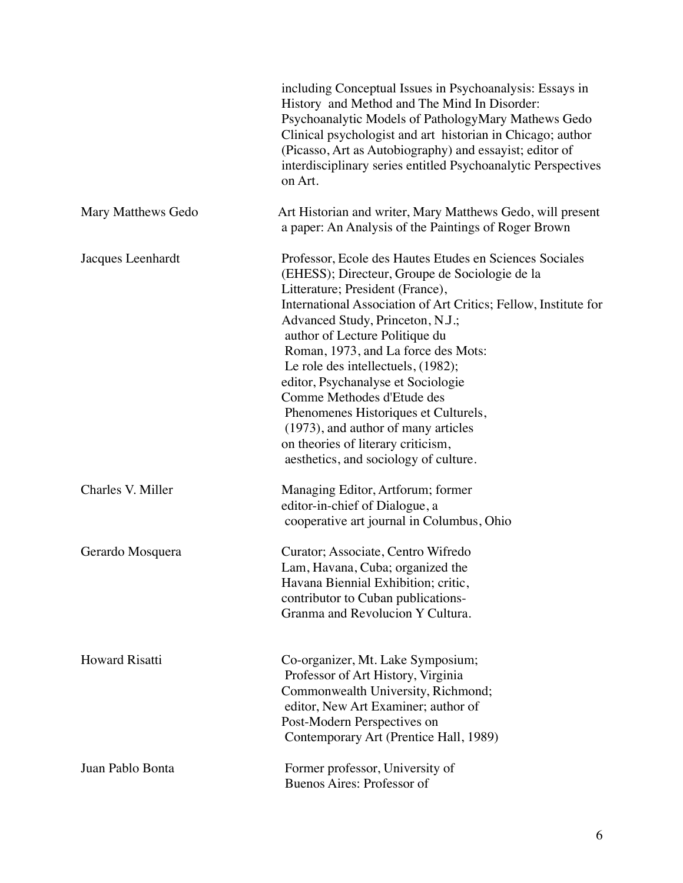|                       | including Conceptual Issues in Psychoanalysis: Essays in<br>History and Method and The Mind In Disorder:<br>Psychoanalytic Models of PathologyMary Mathews Gedo<br>Clinical psychologist and art historian in Chicago; author<br>(Picasso, Art as Autobiography) and essayist; editor of<br>interdisciplinary series entitled Psychoanalytic Perspectives<br>on Art.                                                                                                                                                                                                                                  |
|-----------------------|-------------------------------------------------------------------------------------------------------------------------------------------------------------------------------------------------------------------------------------------------------------------------------------------------------------------------------------------------------------------------------------------------------------------------------------------------------------------------------------------------------------------------------------------------------------------------------------------------------|
| Mary Matthews Gedo    | Art Historian and writer, Mary Matthews Gedo, will present<br>a paper: An Analysis of the Paintings of Roger Brown                                                                                                                                                                                                                                                                                                                                                                                                                                                                                    |
| Jacques Leenhardt     | Professor, Ecole des Hautes Etudes en Sciences Sociales<br>(EHESS); Directeur, Groupe de Sociologie de la<br>Litterature; President (France),<br>International Association of Art Critics; Fellow, Institute for<br>Advanced Study, Princeton, N.J.;<br>author of Lecture Politique du<br>Roman, 1973, and La force des Mots:<br>Le role des intellectuels, (1982);<br>editor, Psychanalyse et Sociologie<br>Comme Methodes d'Etude des<br>Phenomenes Historiques et Culturels,<br>(1973), and author of many articles<br>on theories of literary criticism,<br>aesthetics, and sociology of culture. |
| Charles V. Miller     | Managing Editor, Artforum; former<br>editor-in-chief of Dialogue, a<br>cooperative art journal in Columbus, Ohio                                                                                                                                                                                                                                                                                                                                                                                                                                                                                      |
| Gerardo Mosquera      | Curator; Associate, Centro Wifredo<br>Lam, Havana, Cuba; organized the<br>Havana Biennial Exhibition; critic,<br>contributor to Cuban publications-<br>Granma and Revolucion Y Cultura.                                                                                                                                                                                                                                                                                                                                                                                                               |
| <b>Howard Risatti</b> | Co-organizer, Mt. Lake Symposium;<br>Professor of Art History, Virginia<br>Commonwealth University, Richmond;<br>editor, New Art Examiner; author of<br>Post-Modern Perspectives on<br>Contemporary Art (Prentice Hall, 1989)                                                                                                                                                                                                                                                                                                                                                                         |
| Juan Pablo Bonta      | Former professor, University of<br>Buenos Aires: Professor of                                                                                                                                                                                                                                                                                                                                                                                                                                                                                                                                         |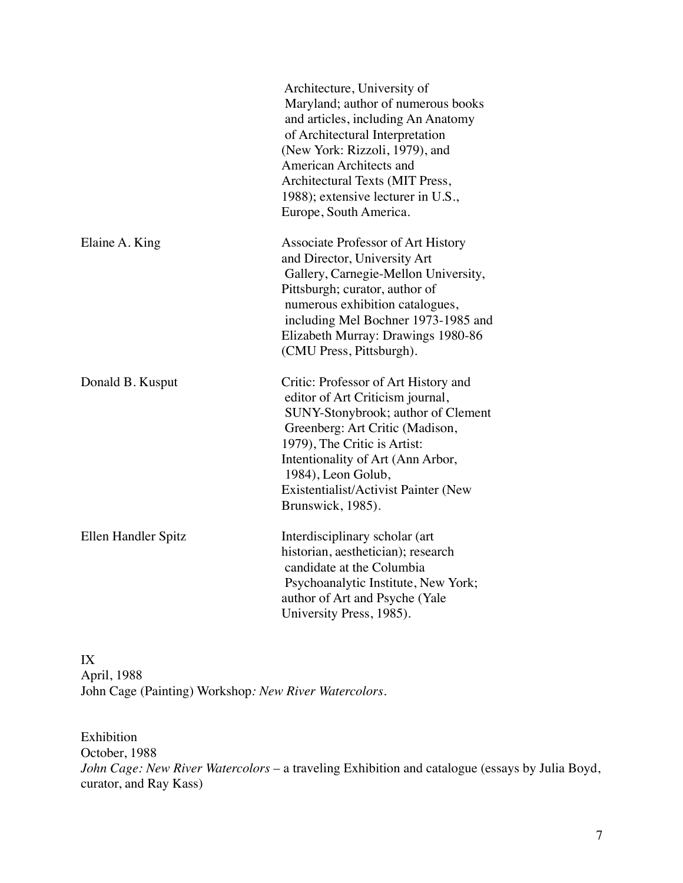|                     | Architecture, University of<br>Maryland; author of numerous books<br>and articles, including An Anatomy<br>of Architectural Interpretation<br>(New York: Rizzoli, 1979), and<br>American Architects and<br>Architectural Texts (MIT Press,<br>1988); extensive lecturer in U.S.,<br>Europe, South America. |
|---------------------|------------------------------------------------------------------------------------------------------------------------------------------------------------------------------------------------------------------------------------------------------------------------------------------------------------|
| Elaine A. King      | Associate Professor of Art History<br>and Director, University Art<br>Gallery, Carnegie-Mellon University,<br>Pittsburgh; curator, author of<br>numerous exhibition catalogues,<br>including Mel Bochner 1973-1985 and<br>Elizabeth Murray: Drawings 1980-86<br>(CMU Press, Pittsburgh).                   |
| Donald B. Kusput    | Critic: Professor of Art History and<br>editor of Art Criticism journal,<br>SUNY-Stonybrook; author of Clement<br>Greenberg: Art Critic (Madison,<br>1979), The Critic is Artist:<br>Intentionality of Art (Ann Arbor,<br>1984), Leon Golub,<br>Existentialist/Activist Painter (New<br>Brunswick, 1985).  |
| Ellen Handler Spitz | Interdisciplinary scholar (art<br>historian, aesthetician); research<br>candidate at the Columbia<br>Psychoanalytic Institute, New York;<br>author of Art and Psyche (Yale<br>University Press, 1985).                                                                                                     |

IX April, 1988 John Cage (Painting) Workshop*: New River Watercolors*.

Exhibition October, 1988 *John Cage: New River Watercolors* – a traveling Exhibition and catalogue (essays by Julia Boyd, curator, and Ray Kass)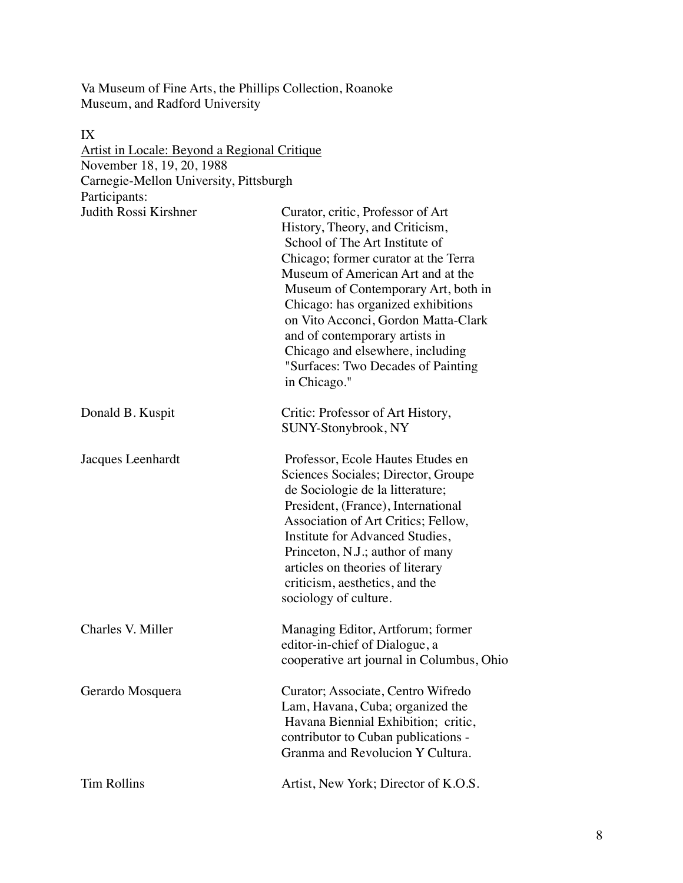Va Museum of Fine Arts, the Phillips Collection, Roanoke Museum, and Radford University

IX Artist in Locale: Beyond a Regional Critique November 18, 19, 20, 1988 Carnegie-Mellon University, Pittsburgh Participants: Judith Rossi Kirshner Curator, critic, Professor of Art History, Theory, and Criticism, School of The Art Institute of Chicago; former curator at the Terra Museum of American Art and at the Museum of Contemporary Art, both in Chicago: has organized exhibitions on Vito Acconci, Gordon Matta-Clark and of contemporary artists in Chicago and elsewhere, including "Surfaces: Two Decades of Painting in Chicago." Donald B. Kuspit Critic: Professor of Art History, SUNY-Stonybrook, NY Jacques Leenhardt Professor, Ecole Hautes Etudes en Sciences Sociales; Director, Groupe de Sociologie de la litterature; President, (France), International Association of Art Critics; Fellow, Institute for Advanced Studies, Princeton, N.J.; author of many articles on theories of literary criticism, aesthetics, and the sociology of culture. Charles V. Miller Managing Editor, Artforum; former editor-in-chief of Dialogue, a cooperative art journal in Columbus, Ohio Gerardo Mosquera Curator; Associate, Centro Wifredo Lam, Havana, Cuba; organized the Havana Biennial Exhibition; critic, contributor to Cuban publications - Granma and Revolucion Y Cultura. Tim Rollins **Artist**, New York; Director of K.O.S.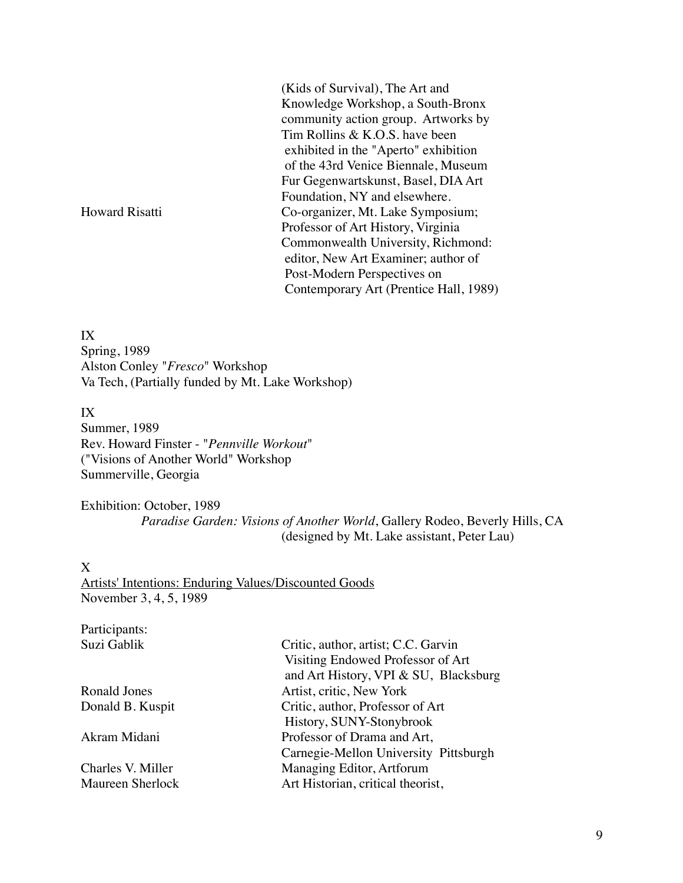(Kids of Survival), The Art and Knowledge Workshop, a South-Bronx community action group. Artworks by Tim Rollins & K.O.S. have been exhibited in the "Aperto" exhibition of the 43rd Venice Biennale, Museum Fur Gegenwartskunst, Basel, DIA Art Foundation, NY and elsewhere. Howard Risatti Co-organizer, Mt. Lake Symposium; Professor of Art History, Virginia Commonwealth University, Richmond: editor, New Art Examiner; author of Post-Modern Perspectives on Contemporary Art (Prentice Hall, 1989)

IX Spring, 1989 Alston Conley "*Fresco*" Workshop Va Tech, (Partially funded by Mt. Lake Workshop)

IX Summer, 1989 Rev. Howard Finster - "*Pennville Workout*" ("Visions of Another World" Workshop Summerville, Georgia

Exhibition: October, 1989 *Paradise Garden: Visions of Another World*, Gallery Rodeo, Beverly Hills, CA (designed by Mt. Lake assistant, Peter Lau)

X

Artists' Intentions: Enduring Values/Discounted Goods November 3, 4, 5, 1989

Participants:

Suzi Gablik Critic, author, artist; C.C. Garvin Visiting Endowed Professor of Art and Art History, VPI & SU, Blacksburg Ronald Jones Artist, critic, New York Donald B. Kuspit Critic, author, Professor of Art History, SUNY-Stonybrook Akram Midani Professor of Drama and Art, Carnegie-Mellon University Pittsburgh Charles V. Miller Managing Editor, Artforum Maureen Sherlock Art Historian, critical theorist,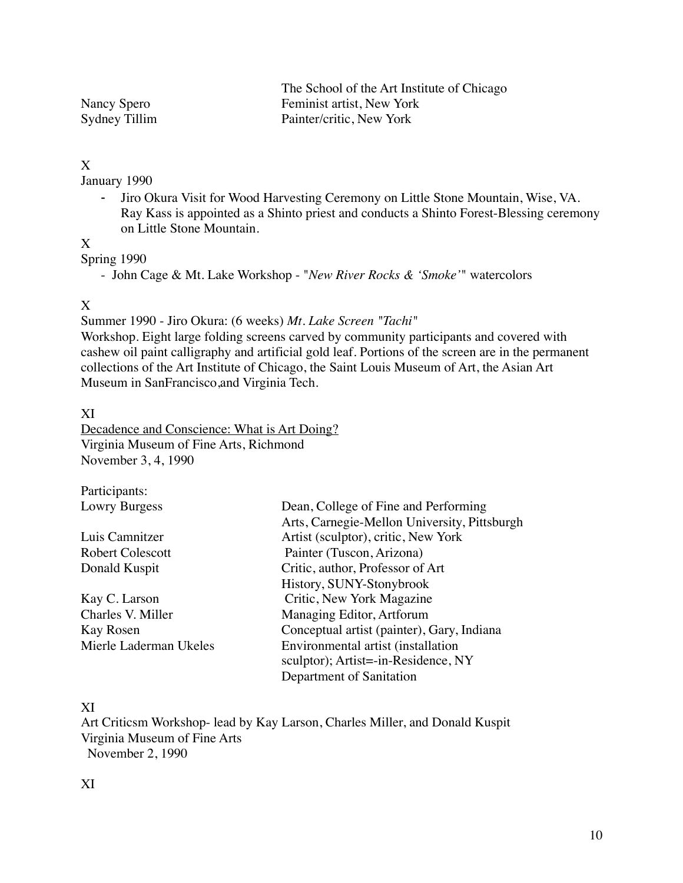|               | The School of the Art Institute of Chicago |
|---------------|--------------------------------------------|
| Nancy Spero   | Feminist artist, New York                  |
| Sydney Tillim | Painter/critic, New York                   |

## X

January 1990

- Jiro Okura Visit for Wood Harvesting Ceremony on Little Stone Mountain, Wise, VA. Ray Kass is appointed as a Shinto priest and conducts a Shinto Forest-Blessing ceremony on Little Stone Mountain.

#### X

Spring 1990

- John Cage & Mt. Lake Workshop - "*New River Rocks & 'Smoke'*" watercolors

#### X

Summer 1990 - Jiro Okura: (6 weeks) *Mt. Lake Screen "Tachi"*

Workshop. Eight large folding screens carved by community participants and covered with cashew oil paint calligraphy and artificial gold leaf. Portions of the screen are in the permanent collections of the Art Institute of Chicago, the Saint Louis Museum of Art, the Asian Art Museum in SanFrancisco,and Virginia Tech.

XI

Decadence and Conscience: What is Art Doing? Virginia Museum of Fine Arts, Richmond November 3, 4, 1990

Participants:

Lowry Burgess Dean, College of Fine and Performing Arts, Carnegie-Mellon University, Pittsburgh Luis Camnitzer Artist (sculptor), critic, New York Robert Colescott Painter (Tuscon, Arizona) Donald Kuspit Critic, author, Professor of Art History, SUNY-Stonybrook Kay C. Larson Critic, New York Magazine Charles V. Miller Managing Editor, Artforum Kay Rosen Conceptual artist (painter), Gary, Indiana Mierle Laderman Ukeles Environmental artist (installation sculptor); Artist=-in-Residence, NY Department of Sanitation

### XI

Art Criticsm Workshop- lead by Kay Larson, Charles Miller, and Donald Kuspit Virginia Museum of Fine Arts November 2, 1990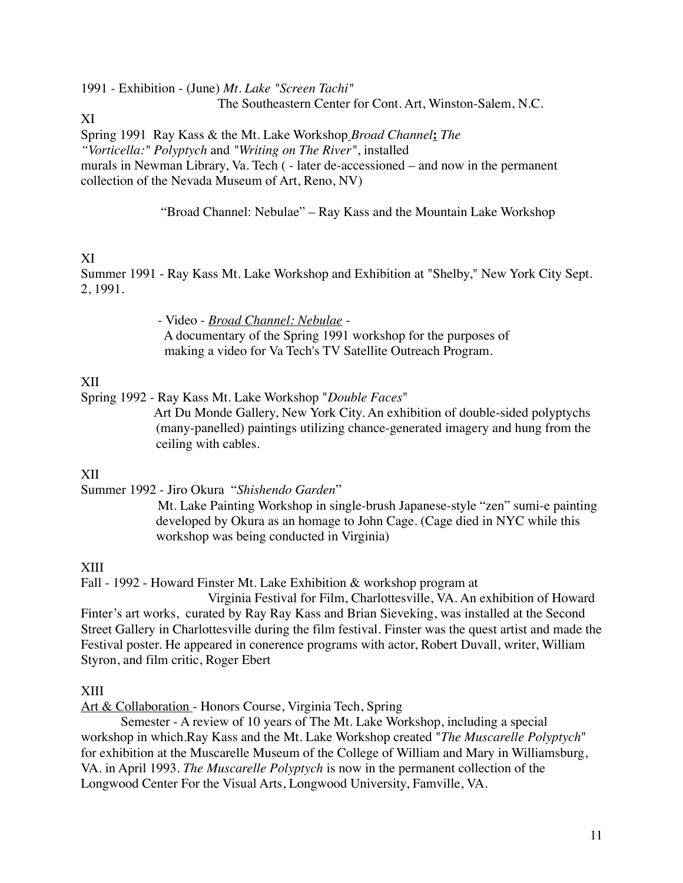1991 - Exhibition - (June) *Mt. Lake "Screen Tachi"*

The Southeastern Center for Cont. Art, Winston-Salem, N.C.

XI

Spring 1991 Ray Kass & the Mt. Lake Workshop *Broad Channel***:** *The "Vorticella:" Polyptych* and *"Writing on The River"*, installed murals in Newman Library, Va. Tech ( - later de-accessioned – and now in the permanent collection of the Nevada Museum of Art, Reno, NV)

"Broad Channel: Nebulae" – Ray Kass and the Mountain Lake Workshop

# XI

Summer 1991 - Ray Kass Mt. Lake Workshop and Exhibition at "Shelby," New York City Sept. 2, 1991.

> - Video - *Broad Channel: Nebulae* - A documentary of the Spring 1991 workshop for the purposes of making a video for Va Tech's TV Satellite Outreach Program.

## XII

Spring 1992 - Ray Kass Mt. Lake Workshop "*Double Faces*"

 Art Du Monde Gallery, New York City. An exhibition of double-sided polyptychs (many-panelled) paintings utilizing chance-generated imagery and hung from the ceiling with cables.

## XII

Summer 1992 - Jiro Okura "*Shishendo Garden*"

 Mt. Lake Painting Workshop in single-brush Japanese-style "zen" sumi-e painting developed by Okura as an homage to John Cage. (Cage died in NYC while this workshop was being conducted in Virginia)

## XIII

Fall - 1992 - Howard Finster Mt. Lake Exhibition & workshop program at

 Virginia Festival for Film, Charlottesville, VA. An exhibition of Howard Finter's art works, curated by Ray Ray Kass and Brian Sieveking, was installed at the Second Street Gallery in Charlottesville during the film festival. Finster was the quest artist and made the Festival poster. He appeared in conerence programs with actor, Robert Duvall, writer, William Styron, and film critic, Roger Ebert

## XIII

Art & Collaboration - Honors Course, Virginia Tech, Spring

Semester - A review of 10 years of The Mt. Lake Workshop, including a special workshop in which.Ray Kass and the Mt. Lake Workshop created "*The Muscarelle Polyptych*" for exhibition at the Muscarelle Museum of the College of William and Mary in Williamsburg, VA. in April 1993. *The Muscarelle Polyptych* is now in the permanent collection of the Longwood Center For the Visual Arts, Longwood University, Famville, VA.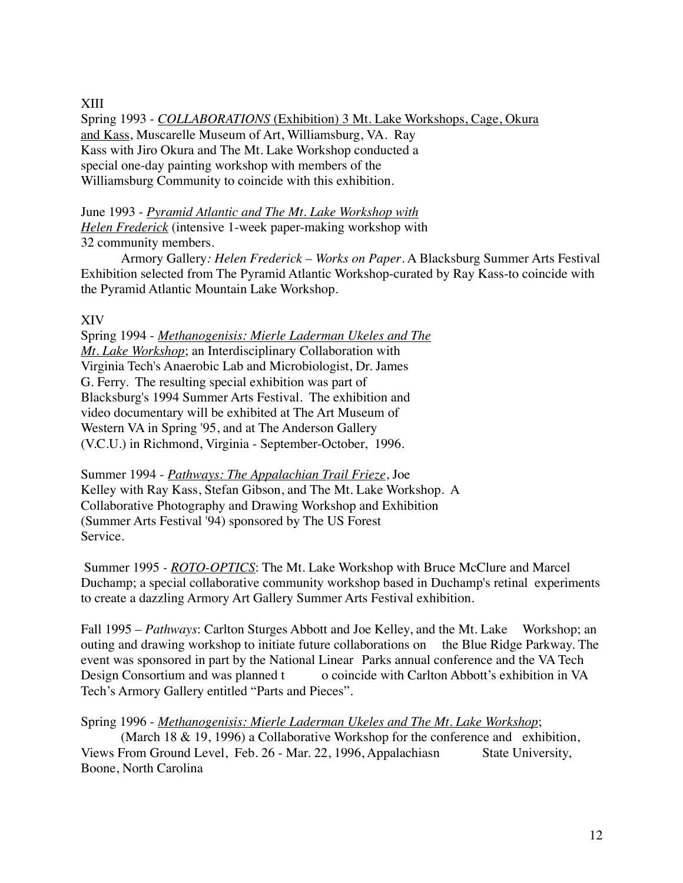XIII

Spring 1993 - *COLLABORATIONS* (Exhibition) 3 Mt. Lake Workshops, Cage, Okura and Kass, Muscarelle Museum of Art, Williamsburg, VA. Ray Kass with Jiro Okura and The Mt. Lake Workshop conducted a special one-day painting workshop with members of the Williamsburg Community to coincide with this exhibition.

June 1993 - *Pyramid Atlantic and The Mt. Lake Workshop with Helen Frederick* (intensive 1-week paper-making workshop with 32 community members.

Armory Gallery*: Helen Frederick – Works on Paper*. A Blacksburg Summer Arts Festival Exhibition selected from The Pyramid Atlantic Workshop-curated by Ray Kass-to coincide with the Pyramid Atlantic Mountain Lake Workshop.

### XIV

Spring 1994 - *Methanogenisis: Mierle Laderman Ukeles and The Mt. Lake Workshop*; an Interdisciplinary Collaboration with Virginia Tech's Anaerobic Lab and Microbiologist, Dr. James G. Ferry. The resulting special exhibition was part of Blacksburg's 1994 Summer Arts Festival. The exhibition and video documentary will be exhibited at The Art Museum of Western VA in Spring '95, and at The Anderson Gallery (V.C.U.) in Richmond, Virginia - September-October, 1996.

Summer 1994 - *Pathways: The Appalachian Trail Frieze*, Joe Kelley with Ray Kass, Stefan Gibson, and The Mt. Lake Workshop. A Collaborative Photography and Drawing Workshop and Exhibition (Summer Arts Festival '94) sponsored by The US Forest Service.

Summer 1995 *- ROTO-OPTICS*: The Mt. Lake Workshop with Bruce McClure and Marcel Duchamp; a special collaborative community workshop based in Duchamp's retinal experiments to create a dazzling Armory Art Gallery Summer Arts Festival exhibition.

Fall 1995 – *Pathways*: Carlton Sturges Abbott and Joe Kelley, and the Mt. Lake Workshop; an outing and drawing workshop to initiate future collaborations on the Blue Ridge Parkway. The event was sponsored in part by the National Linear Parks annual conference and the VA Tech Design Consortium and was planned t o coincide with Carlton Abbott's exhibition in VA Tech's Armory Gallery entitled "Parts and Pieces".

Spring 1996 - *Methanogenisis: Mierle Laderman Ukeles and The Mt. Lake Workshop*;

(March 18 & 19, 1996) a Collaborative Workshop for the conference and exhibition, Views From Ground Level, Feb. 26 - Mar. 22, 1996, Appalachiasn State University, Boone, North Carolina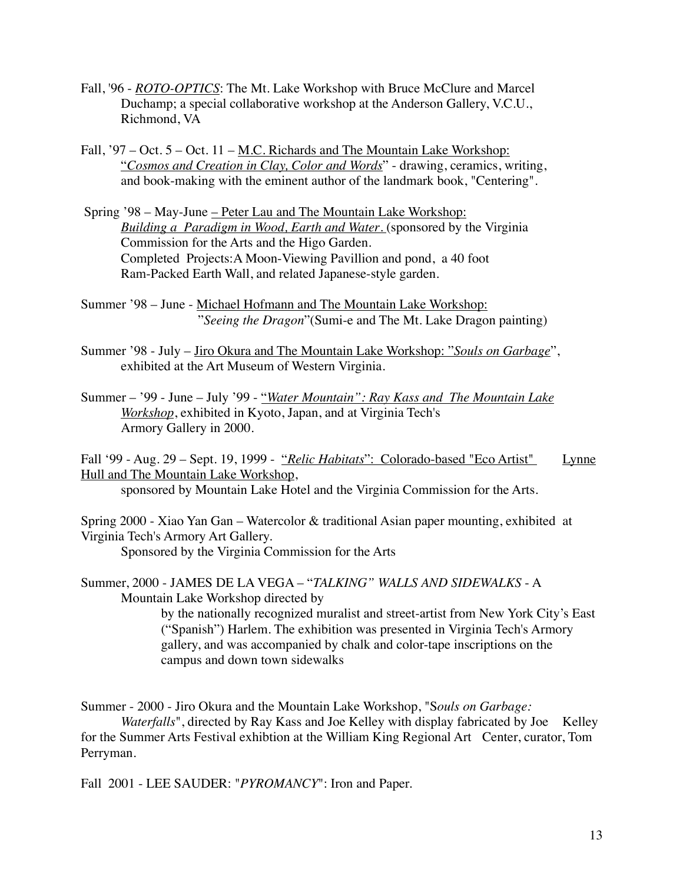- Fall, '96 *ROTO-OPTICS*: The Mt. Lake Workshop with Bruce McClure and Marcel Duchamp; a special collaborative workshop at the Anderson Gallery, V.C.U., Richmond, VA
- Fall, '97 Oct. 5 Oct. 11 <u>M.C. Richards and The Mountain Lake Workshop:</u> "*Cosmos and Creation in Clay, Color and Words*" - drawing, ceramics, writing, and book-making with the eminent author of the landmark book, "Centering".
- Spring '98 May-June Peter Lau and The Mountain Lake Workshop: *Building a Paradigm in Wood, Earth and Water*. (sponsored by the Virginia Commission for the Arts and the Higo Garden. Completed Projects:A Moon-Viewing Pavillion and pond, a 40 foot Ram-Packed Earth Wall, and related Japanese-style garden.
- Summer '98 June Michael Hofmann and The Mountain Lake Workshop: "*Seeing the Dragon*"(Sumi-e and The Mt. Lake Dragon painting)
- Summer '98 July Jiro Okura and The Mountain Lake Workshop: "*Souls on Garbage*", exhibited at the Art Museum of Western Virginia.
- Summer '99 June July '99 "*Water Mountain": Ray Kass and The Mountain Lake Workshop*, exhibited in Kyoto, Japan, and at Virginia Tech's Armory Gallery in 2000.
- Fall '99 Aug. 29 Sept. 19, 1999 "*Relic Habitats*": Colorado-based "Eco Artist" Lynne Hull and The Mountain Lake Workshop,

sponsored by Mountain Lake Hotel and the Virginia Commission for the Arts.

Spring 2000 - Xiao Yan Gan – Watercolor & traditional Asian paper mounting, exhibited at Virginia Tech's Armory Art Gallery.

Sponsored by the Virginia Commission for the Arts

Summer, 2000 - JAMES DE LA VEGA – "*TALKING" WALLS AND SIDEWALKS* - A Mountain Lake Workshop directed by

> by the nationally recognized muralist and street-artist from New York City's East ("Spanish") Harlem. The exhibition was presented in Virginia Tech's Armory gallery, and was accompanied by chalk and color-tape inscriptions on the campus and down town sidewalks

Summer - 2000 - Jiro Okura and the Mountain Lake Workshop, "S*ouls on Garbage:* 

*Waterfalls*", directed by Ray Kass and Joe Kelley with display fabricated by Joe Kelley for the Summer Arts Festival exhibtion at the William King Regional Art Center, curator, Tom Perryman.

Fall 2001 - LEE SAUDER: "*PYROMANCY*": Iron and Paper.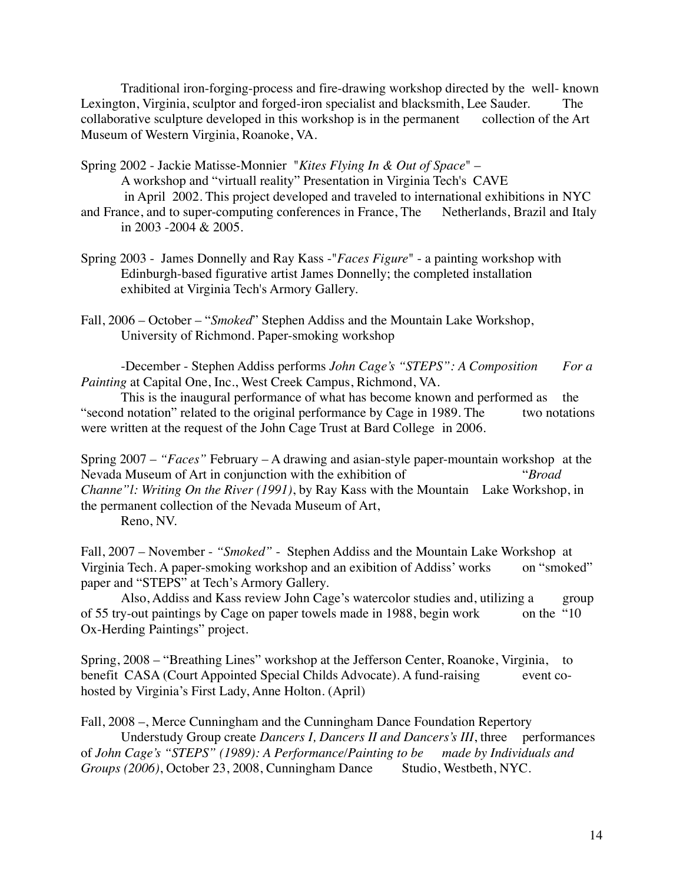Traditional iron-forging-process and fire-drawing workshop directed by the well- known Lexington, Virginia, sculptor and forged-iron specialist and blacksmith, Lee Sauder. The collaborative sculpture developed in this workshop is in the permanent collection of the Art Museum of Western Virginia, Roanoke, VA.

Spring 2002 - Jackie Matisse-Monnier "*Kites Flying In & Out of Space*" – A workshop and "virtuall reality" Presentation in Virginia Tech's CAVE in April 2002. This project developed and traveled to international exhibitions in NYC and France, and to super-computing conferences in France, The Netherlands, Brazil and Italy

in 2003 -2004 & 2005.

Spring 2003 - James Donnelly and Ray Kass -"*Faces Figure*" - a painting workshop with Edinburgh-based figurative artist James Donnelly; the completed installation exhibited at Virginia Tech's Armory Gallery.

Fall, 2006 – October – "*Smoked*" Stephen Addiss and the Mountain Lake Workshop, University of Richmond. Paper-smoking workshop

-December - Stephen Addiss performs *John Cage's "STEPS": A Composition For a Painting* at Capital One, Inc., West Creek Campus, Richmond, VA.

This is the inaugural performance of what has become known and performed as the "second notation" related to the original performance by Cage in 1989. The two notations were written at the request of the John Cage Trust at Bard College in 2006.

Spring 2007 – *"Faces"* February – A drawing and asian-style paper-mountain workshop at the Nevada Museum of Art in conjunction with the exhibition of "*Broad Channe"l: Writing On the River (1991)*, by Ray Kass with the Mountain Lake Workshop, in the permanent collection of the Nevada Museum of Art,

Reno, NV.

Fall, 2007 – November - *"Smoked"* - Stephen Addiss and the Mountain Lake Workshop at Virginia Tech. A paper-smoking workshop and an exibition of Addiss' works on "smoked" paper and "STEPS" at Tech's Armory Gallery.

Also, Addiss and Kass review John Cage's watercolor studies and, utilizing a group of 55 try-out paintings by Cage on paper towels made in 1988, begin work on the "10" Ox-Herding Paintings" project.

Spring, 2008 – "Breathing Lines" workshop at the Jefferson Center, Roanoke, Virginia, to benefit CASA (Court Appointed Special Childs Advocate). A fund-raising event cohosted by Virginia's First Lady, Anne Holton. (April)

Fall, 2008 –, Merce Cunningham and the Cunningham Dance Foundation Repertory

Understudy Group create *Dancers I, Dancers II and Dancers's III*, three performances of *John Cage's "STEPS" (1989): A Performance/Painting to be made by Individuals and Groups (2006)*, October 23, 2008, Cunningham Dance Studio, Westbeth, NYC.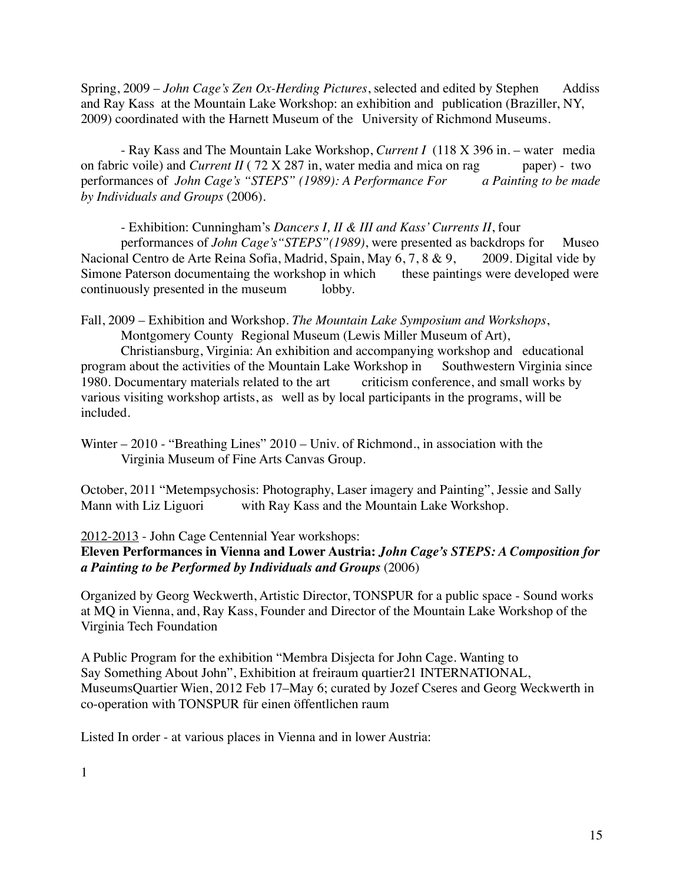Spring, 2009 – *John Cage's Zen Ox-Herding Pictures*, selected and edited by Stephen Addiss and Ray Kass at the Mountain Lake Workshop: an exhibition and publication (Braziller, NY, 2009) coordinated with the Harnett Museum of the University of Richmond Museums.

- Ray Kass and The Mountain Lake Workshop, *Current I* (118 X 396 in. – water media on fabric voile) and *Current II* (72 X 287 in, water media and mica on rag paper) - two performances of *John Cage's "STEPS" (1989): A Performance For a Painting to be made by Individuals and Groups* (2006).

- Exhibition: Cunningham's *Dancers I, II & III and Kass' Currents II*, four

performances of *John Cage's"STEPS"(1989)*, were presented as backdrops for Museo Nacional Centro de Arte Reina Sofia, Madrid, Spain, May 6, 7, 8 & 9, 2009. Digital vide by Simone Paterson documentaing the workshop in which these paintings were developed were continuously presented in the museum lobby.

Fall, 2009 – Exhibition and Workshop. *The Mountain Lake Symposium and Workshops*, Montgomery County Regional Museum (Lewis Miller Museum of Art),

Christiansburg, Virginia: An exhibition and accompanying workshop and educational program about the activities of the Mountain Lake Workshop in Southwestern Virginia since 1980. Documentary materials related to the art criticism conference, and small works by various visiting workshop artists, as well as by local participants in the programs, will be included.

Winter – 2010 - "Breathing Lines" 2010 – Univ. of Richmond., in association with the Virginia Museum of Fine Arts Canvas Group.

October, 2011 "Metempsychosis: Photography, Laser imagery and Painting", Jessie and Sally Mann with Liz Liguori with Ray Kass and the Mountain Lake Workshop.

2012-2013 - John Cage Centennial Year workshops:

**Eleven Performances in Vienna and Lower Austria:** *John Cage's STEPS: A Composition for a Painting to be Performed by Individuals and Groups* (2006)

Organized by Georg Weckwerth, Artistic Director, TONSPUR for a public space - Sound works at MQ in Vienna, and, Ray Kass, Founder and Director of the Mountain Lake Workshop of the Virginia Tech Foundation

A Public Program for the exhibition "Membra Disjecta for John Cage. Wanting to Say Something About John", Exhibition at freiraum quartier21 INTERNATIONAL, MuseumsQuartier Wien, 2012 Feb 17–May 6; curated by Jozef Cseres and Georg Weckwerth in co-operation with TONSPUR für einen öffentlichen raum

Listed In order - at various places in Vienna and in lower Austria: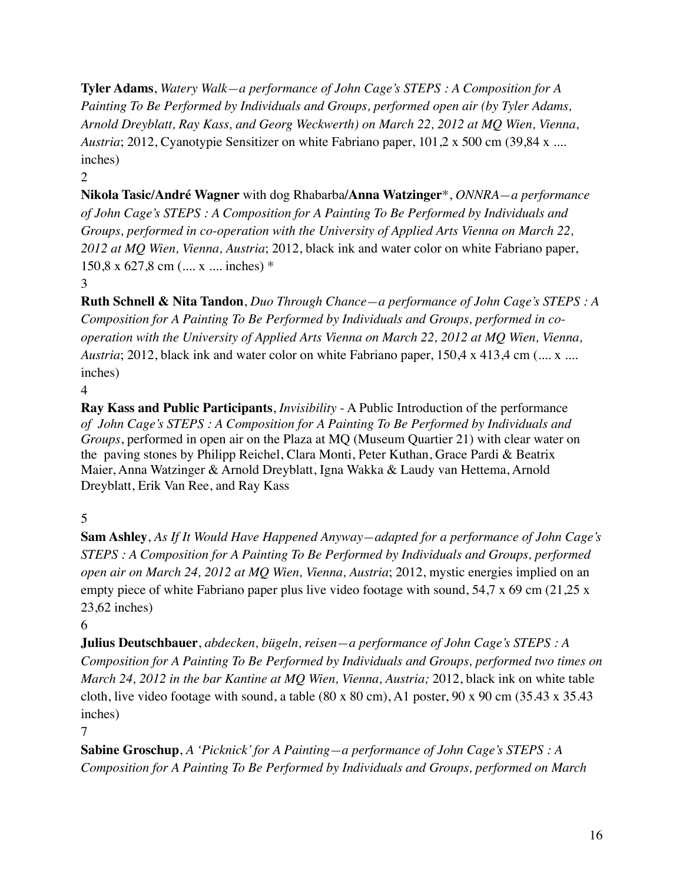**Tyler Adams**, *Watery Walk—a performance of John Cage's STEPS : A Composition for A Painting To Be Performed by Individuals and Groups, performed open air (by Tyler Adams, Arnold Dreyblatt, Ray Kass, and Georg Weckwerth) on March 22, 2012 at MQ Wien, Vienna, Austria*; 2012, Cyanotypie Sensitizer on white Fabriano paper, 101,2 x 500 cm (39,84 x .... inches)

 $\mathfrak{D}$ 

**Nikola Tasic/André Wagner** with dog Rhabarba**/Anna Watzinger**\*, *ONNRA—a performance of John Cage's STEPS : A Composition for A Painting To Be Performed by Individuals and Groups, performed in co-operation with the University of Applied Arts Vienna on March 22, 2012 at MQ Wien, Vienna, Austria*; 2012, black ink and water color on white Fabriano paper, 150,8 x 627,8 cm (.... x .... inches) \*

3

**Ruth Schnell & Nita Tandon**, *Duo Through Chance—a performance of John Cage's STEPS : A Composition for A Painting To Be Performed by Individuals and Groups, performed in cooperation with the University of Applied Arts Vienna on March 22, 2012 at MQ Wien, Vienna, Austria*; 2012, black ink and water color on white Fabriano paper, 150,4 x 413,4 cm (.... x .... inches)

4

**Ray Kass and Public Participants**, *Invisibility* - A Public Introduction of the performance *of John Cage's STEPS : A Composition for A Painting To Be Performed by Individuals and Groups*, performed in open air on the Plaza at MQ (Museum Quartier 21) with clear water on the paving stones by Philipp Reichel, Clara Monti, Peter Kuthan, Grace Pardi & Beatrix Maier, Anna Watzinger & Arnold Dreyblatt, Igna Wakka & Laudy van Hettema, Arnold Dreyblatt, Erik Van Ree, and Ray Kass

5

**Sam Ashley**, *As If It Would Have Happened Anyway—adapted for a performance of John Cage's STEPS : A Composition for A Painting To Be Performed by Individuals and Groups, performed open air on March 24, 2012 at MQ Wien, Vienna, Austria*; 2012, mystic energies implied on an empty piece of white Fabriano paper plus live video footage with sound, 54,7 x 69 cm (21,25 x 23,62 inches)

6

**Julius Deutschbauer**, *abdecken, bügeln, reisen—a performance of John Cage's STEPS : A Composition for A Painting To Be Performed by Individuals and Groups, performed two times on March 24, 2012 in the bar Kantine at MQ Wien, Vienna, Austria;* 2012, black ink on white table cloth, live video footage with sound, a table  $(80 \times 80 \text{ cm})$ , A1 poster, 90 x 90 cm  $(35.43 \times 35.43 \text{ m})$ inches)

7

**Sabine Groschup**, *A 'Picknick' for A Painting—a performance of John Cage's STEPS : A Composition for A Painting To Be Performed by Individuals and Groups, performed on March*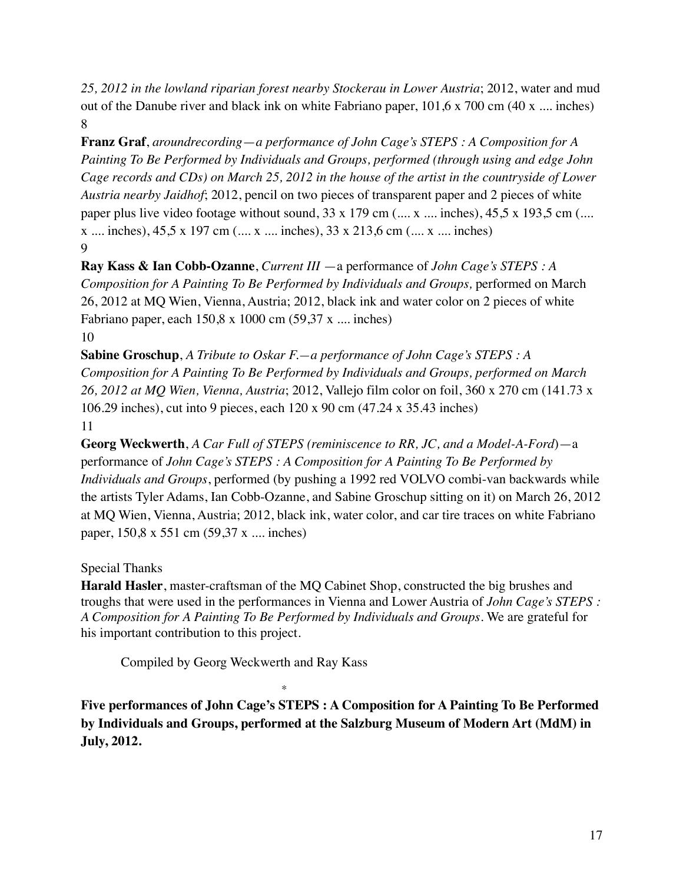*25, 2012 in the lowland riparian forest nearby Stockerau in Lower Austria*; 2012, water and mud out of the Danube river and black ink on white Fabriano paper,  $101.6 \times 700$  cm (40 x .... inches) 8

**Franz Graf**, *aroundrecording*—*a performance of John Cage's STEPS : A Composition for A Painting To Be Performed by Individuals and Groups, performed (through using and edge John Cage records and CDs) on March 25, 2012 in the house of the artist in the countryside of Lower Austria nearby Jaidhof*; 2012, pencil on two pieces of transparent paper and 2 pieces of white paper plus live video footage without sound,  $33 \times 179$  cm (..., x ..., inches),  $45.5 \times 193.5$  cm (.... x .... inches), 45,5 x 197 cm (.... x .... inches), 33 x 213,6 cm (.... x .... inches)  $\mathbf Q$ 

**Ray Kass & Ian Cobb-Ozanne**, *Current III* —a performance of *John Cage's STEPS : A Composition for A Painting To Be Performed by Individuals and Groups,* performed on March 26, 2012 at MQ Wien, Vienna, Austria; 2012, black ink and water color on 2 pieces of white Fabriano paper, each 150,8 x 1000 cm (59,37 x .... inches) 10

**Sabine Groschup**, *A Tribute to Oskar F.—a performance of John Cage's STEPS : A Composition for A Painting To Be Performed by Individuals and Groups, performed on March 26, 2012 at MQ Wien, Vienna, Austria*; 2012, Vallejo film color on foil, 360 x 270 cm (141.73 x 106.29 inches), cut into 9 pieces, each 120 x 90 cm (47.24 x 35.43 inches) 11

**Georg Weckwerth**, *A Car Full of STEPS (reminiscence to RR, JC, and a Model-A-Ford*)—a performance of *John Cage's STEPS : A Composition for A Painting To Be Performed by Individuals and Groups*, performed (by pushing a 1992 red VOLVO combi-van backwards while the artists Tyler Adams, Ian Cobb-Ozanne, and Sabine Groschup sitting on it) on March 26, 2012 at MQ Wien, Vienna, Austria; 2012, black ink, water color, and car tire traces on white Fabriano paper, 150,8 x 551 cm (59,37 x .... inches)

Special Thanks

**Harald Hasler**, master-craftsman of the MQ Cabinet Shop, constructed the big brushes and troughs that were used in the performances in Vienna and Lower Austria of *John Cage's STEPS : A Composition for A Painting To Be Performed by Individuals and Groups*. We are grateful for his important contribution to this project.

Compiled by Georg Weckwerth and Ray Kass

\*

**Five performances of John Cage's STEPS : A Composition for A Painting To Be Performed by Individuals and Groups, performed at the Salzburg Museum of Modern Art (MdM) in July, 2012.**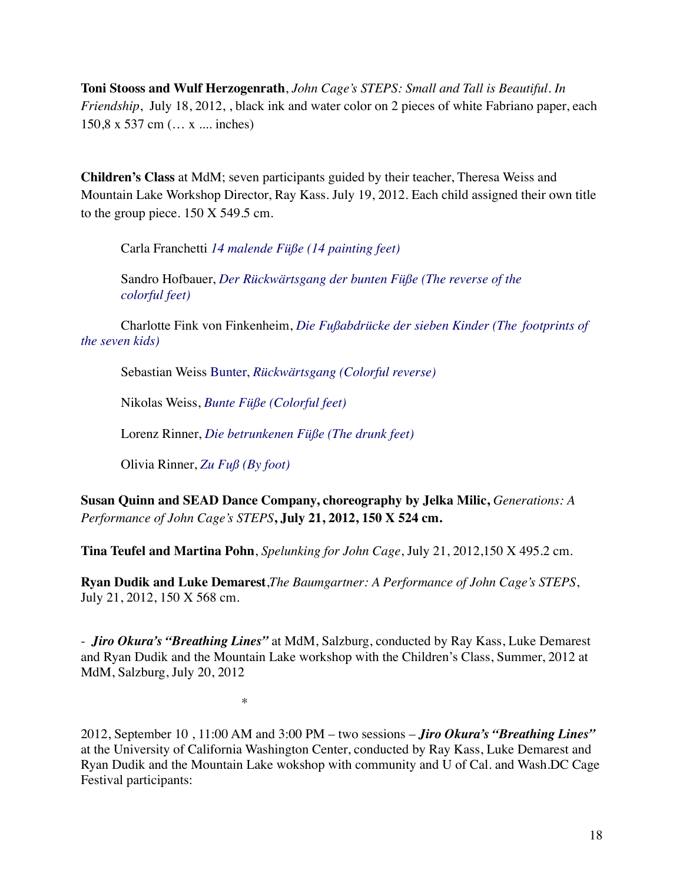**Toni Stooss and Wulf Herzogenrath**, *John Cage's STEPS: Small and Tall is Beautiful. In Friendship*, July 18, 2012, black ink and water color on 2 pieces of white Fabriano paper, each 150,8 x 537 cm (… x .... inches)

**Children's Class** at MdM; seven participants guided by their teacher, Theresa Weiss and Mountain Lake Workshop Director, Ray Kass. July 19, 2012. Each child assigned their own title to the group piece. 150 X 549.5 cm.

Carla Franchetti *14 malende Füße (14 painting feet)*

Sandro Hofbauer, *Der Rückwärtsgang der bunten Füße (The reverse of the colorful feet)*

Charlotte Fink von Finkenheim, *Die Fußabdrücke der sieben Kinder (The footprints of the seven kids)*

Sebastian Weiss Bunter, *Rückwärtsgang (Colorful reverse)*

Nikolas Weiss, *Bunte Füße (Colorful feet)*

Lorenz Rinner, *Die betrunkenen Füße (The drunk feet)*

Olivia Rinner, *Zu Fuß (By foot)*

**Susan Quinn and SEAD Dance Company, choreography by Jelka Milic,** *Generations: A Performance of John Cage's STEPS***, July 21, 2012, 150 X 524 cm.**

**Tina Teufel and Martina Pohn**, *Spelunking for John Cage*, July 21, 2012,150 X 495.2 cm.

**Ryan Dudik and Luke Demarest**,*The Baumgartner: A Performance of John Cage's STEPS*, July 21, 2012, 150 X 568 cm.

- *Jiro Okura's "Breathing Lines"* at MdM, Salzburg, conducted by Ray Kass, Luke Demarest and Ryan Dudik and the Mountain Lake workshop with the Children's Class, Summer, 2012 at MdM, Salzburg, July 20, 2012

\*

2012, September 10 , 11:00 AM and 3:00 PM – two sessions – *Jiro Okura's "Breathing Lines"* at the University of California Washington Center, conducted by Ray Kass, Luke Demarest and Ryan Dudik and the Mountain Lake wokshop with community and U of Cal. and Wash.DC Cage Festival participants: